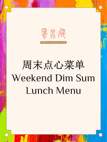

# 周末点心菜单 Weekend Dim Sum Lunch Menu

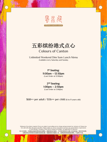

F & N G · S H U I · I N N

五彩缤纷港式点心

## Colours of Canton

Unlimited Weekend Dim Sum Lunch Menu Available every Saturday and Sunday

> 1 st Seating: 11:00am – 12:30pm (Last Order at 12:00pm)

2nd Seating: 1:00pm – 2:30pm (Last Order at 2:00pm)

#### \$68++ per adult / \$36++ per child (6 to 11 years old)

Minimum of two diners required. Prices are subject to prevailing service charge and government tax. Inclusive of Chinese tea. Not valid with other discounts and offers. Please notify our service associates if you have any special dietary requirements or food allergies. Wastage of food will be charged accordingly. Not applicable for takeaway.

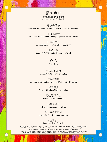

Signature Dim Sum (One Serving Only 仅提供 1 份)



Steamed Sea Cucumber Dumpling with Chinese Coriander



Steamed Minced Lobster Dumpling with Chinese Chives

日本和牛饺 Steamed Japanese Wagyu Beef Dumpling



Steamed Cod Dumpling in Superior Broth



#### 水晶鲜虾饺皇 Classic Crystal Prawn Dumpling

#### 三鲜海鲜饺

Steamed Crab Meat and Conpoy Dumpling with Caviar

黑蒜虾饺 Prawn with Black Garlic Dumpling



#### Steamed Kurobuta Siew Mai

蚝皇叉烧包 Steamed Barbeque Pork Bun

黑松露香菇斋包 Vegetarian Truffle Mushroom Bun

> 玫瑰豆沙包 "Rose" Red Bean Paste Bun

Minimum of two diners required. Prices are subject to prevailing service charge and government tax. Inclusive of Chinese tea. Not valid with other discounts and offers. Please notify our service associates if you have any special dietary requirements or food allergies. Wastage of food will be charged accordingly. Not applicable for takeaway.

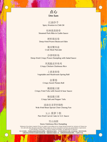

红油抄手 Spicy Wonton in Chili Oil

桂林酱蒸排骨 Steamed Pork Ribs in Guilin Sauce

鲜虾腐皮卷 Deep-fried Prawn Beancurd Skin

#### 凤凰脆皮珍珠鸡 Crispy Chicken Glutinous Rice

脆皮蟹肉盒 Crab Meat Pancake

#### 沙律明虾角 Deep-fried Crispy Prawn Dumpling with Salad Sauce

豉油皇龙笌炒肠粉 Wok-fried Bean Sprout Chee Cheong Fun

X.O. 酱萝卜糕 Pan-fried Carrot Cake in X.O. Sauce

#### 上素斋春卷

Vegetable and Mushroom Spring Roll



Crispy Sweet Potato Roll

#### 酸甜脆豆腐

Crispy Fried Tofu with Sweet & Sour Sauce

椒盐脆豆腐 Crispy Salt and Pepper Tofu

雪山汤圆

#### Snow Glutinous Rice Dumpling

Minimum of two diners required. Prices are subject to prevailing service charge and government tax. Inclusive of Chinese tea. Not valid with other discounts and offers. Please notify our service associates if you have any special dietary requirements or food allergies. Wastage of food will be charged accordingly. Not applicable for takeaway.

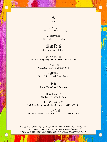

粤式老火炖汤 Double-boiled Soup of The Day

海鲜酸辣羹 Hot and Sour Seafood Soup



Seasonal Vegetables



Stir-fried Hong Kong Choy Sum with Minced Garlic

### 上汤浸芦笋

Poached Asparagus in Chicken Broth

蚝油芥兰 Braised Kai Lan with Oyster Sauce



Rice / Noodles / Congee

虾球滑蛋河粉 Silky Egg Hor Fun with Prawn

#### 黑松蟹肉蛋白炒饭 Wok-fried Rice with Crab Meat, Egg White and Black Truffle

干烧伊付麵 Braised Ee Fu Noodles with Mushroom and Chinese Chives

Minimum of two diners required. Prices are subject to prevailing service charge and government tax. Inclusive of Chinese tea. Not valid with other discounts and offers. Please notify our service associates if you have any special dietary requirements or food allergies. Wastage of food will be charged accordingly. Not applicable for takeaway.